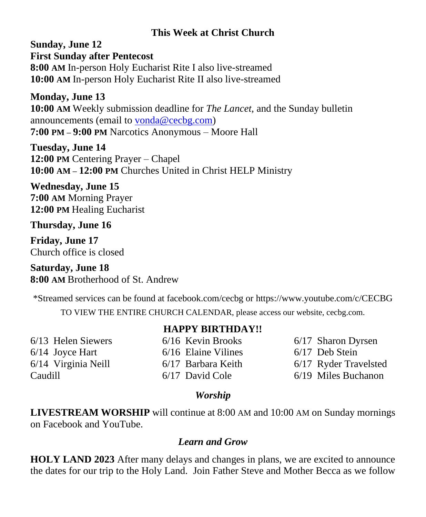## **This Week at Christ Church**

**Sunday, June 12 First Sunday after Pentecost 8:00 AM** In-person Holy Eucharist Rite I also live-streamed **10:00 AM** In-person Holy Eucharist Rite II also live-streamed

**Monday, June 13 10:00 AM** Weekly submission deadline for *The Lancet,* and the Sunday bulletin announcements (email to [vonda@cecbg.com\)](mailto:vonda@cecbg.com) **7:00 PM – 9:00 PM** Narcotics Anonymous – Moore Hall

**Tuesday, June 14 12:00 PM** Centering Prayer – Chapel **10:00 AM – 12:00 PM** Churches United in Christ HELP Ministry

**Wednesday, June 15 7:00 AM** Morning Prayer **12:00 PM** Healing Eucharist

**Thursday, June 16**

**Friday, June 17** Church office is closed

**Saturday, June 18 8:00 AM** Brotherhood of St. Andrew

\*Streamed services can be found at facebook.com/cecbg or https://www.youtube.com/c/CECBG

TO VIEW THE ENTIRE CHURCH CALENDAR, please access our website, cecbg.com.

6/13 Helen Siewers 6/14 Joyce Hart 6/14 Virginia Neill Caudill

## **HAPPY BIRTHDAY!!**

6/16 Kevin Brooks 6/16 Elaine Vilines 6/17 Barbara Keith 6/17 David Cole

6/17 Sharon Dyrsen 6/17 Deb Stein 6/17 Ryder Travelsted 6/19 Miles Buchanon

## *Worship*

**LIVESTREAM WORSHIP** will continue at 8:00 AM and 10:00 AM on Sunday mornings on Facebook and YouTube.

## *Learn and Grow*

**HOLY LAND 2023** After many delays and changes in plans, we are excited to announce the dates for our trip to the Holy Land. Join Father Steve and Mother Becca as we follow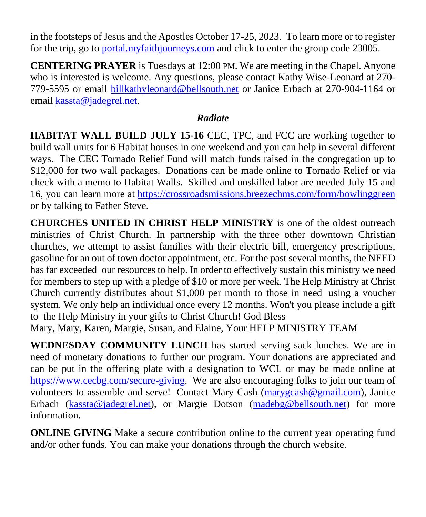in the footsteps of Jesus and the Apostles October 17-25, 2023. To learn more or to register for the trip, go to [portal.myfaithjourneys.com](http://portal.myfaithjourneys.com/) and click to enter the group code 23005.

**CENTERING PRAYER** is Tuesdays at 12:00 PM. We are meeting in the Chapel. Anyone who is interested is welcome. Any questions, please contact Kathy Wise-Leonard at 270- 779-5595 or email [billkathyleonard@bellsouth.net](mailto:billkathyleonard@bellsouth.net) or Janice Erbach at 270-904-1164 or email [kassta@jadegrel.net.](mailto:kassta@jadegrel.net)

## *Radiate*

**HABITAT WALL BUILD JULY 15-16** CEC, TPC, and FCC are working together to build wall units for 6 Habitat houses in one weekend and you can help in several different ways. The CEC Tornado Relief Fund will match funds raised in the congregation up to \$12,000 for two wall packages. Donations can be made online to Tornado Relief or via check with a memo to Habitat Walls. Skilled and unskilled labor are needed July 15 and 16, you can learn more at <https://crossroadsmissions.breezechms.com/form/bowlinggreen> or by talking to Father Steve.

**CHURCHES UNITED IN CHRIST HELP MINISTRY** is one of the oldest outreach ministries of Christ Church. In partnership with the three other downtown Christian churches, we attempt to assist families with their electric bill, emergency prescriptions, gasoline for an out of town doctor appointment, etc. For the past several months, the NEED has far exceeded our resources to help. In order to effectively sustain this ministry we need for members to step up with a pledge of \$10 or more per week. The Help Ministry at Christ Church currently distributes about \$1,000 per month to those in need using a voucher system. We only help an individual once every 12 months. Won't you please include a gift to the Help Ministry in your gifts to Christ Church! God Bless

Mary, Mary, Karen, Margie, Susan, and Elaine, Your HELP MINISTRY TEAM

**WEDNESDAY COMMUNITY LUNCH** has started serving sack lunches. We are in need of monetary donations to further our program. Your donations are appreciated and can be put in the offering plate with a designation to WCL or may be made online at [https://www.cecbg.com/secure-giving.](https://www.cecbg.com/secure-giving) We are also encouraging folks to join our team of volunteers to assemble and serve! Contact Mary Cash [\(marygcash@gmail.com\)](mailto:marygcash@gmail.com), Janice Erbach [\(kassta@jadegrel.net\)](mailto:kassta@jadegrel.net), or Margie Dotson [\(madebg@bellsouth.net\)](mailto:madebg@bellsouth.net) for more information.

**ONLINE GIVING** Make a secure contribution online to the current year operating fund and/or other funds. You can make your donations through the church website.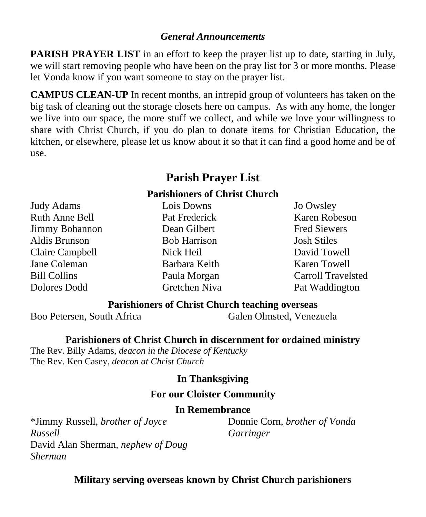#### *General Announcements*

**PARISH PRAYER LIST** in an effort to keep the prayer list up to date, starting in July, we will start removing people who have been on the pray list for 3 or more months. Please let Vonda know if you want someone to stay on the prayer list.

**CAMPUS CLEAN-UP** In recent months, an intrepid group of volunteers has taken on the big task of cleaning out the storage closets here on campus. As with any home, the longer we live into our space, the more stuff we collect, and while we love your willingness to share with Christ Church, if you do plan to donate items for Christian Education, the kitchen, or elsewhere, please let us know about it so that it can find a good home and be of use.

# **Parish Prayer List**

#### **Parishioners of Christ Church**

Judy Adams Ruth Anne Bell Jimmy Bohannon Aldis Brunson Claire Campbell Jane Coleman Bill Collins Dolores Dodd

Lois Downs Pat Frederick Dean Gilbert Bob Harrison Nick Heil Barbara Keith Paula Morgan Gretchen Niva Jo Owsley Karen Robeson Fred Siewers Josh Stiles David Towell Karen Towell Carroll Travelsted Pat Waddington

### **Parishioners of Christ Church teaching overseas**

Boo Petersen, South Africa Galen Olmsted, Venezuela

#### **Parishioners of Christ Church in discernment for ordained ministry**

The Rev. Billy Adams, *deacon in the Diocese of Kentucky* The Rev. Ken Casey, *deacon at Christ Church*

### **In Thanksgiving**

#### **For our Cloister Community**

#### **In Remembrance**

\*Jimmy Russell, *brother of Joyce Russell* David Alan Sherman, *nephew of Doug Sherman*

Donnie Corn, *brother of Vonda Garringer*

**Military serving overseas known by Christ Church parishioners**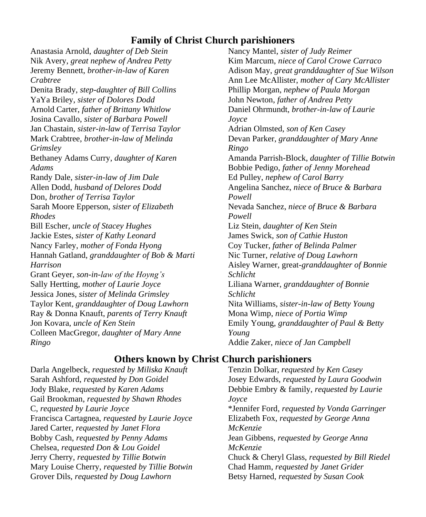## **Family of Christ Church parishioners**

Anastasia Arnold, *daughter of Deb Stein* Nik Avery, *great nephew of Andrea Petty* Jeremy Bennett, *brother-in-law of Karen Crabtree* Denita Brady, *step-daughter of Bill Collins* YaYa Briley, *sister of Dolores Dodd* Arnold Carter, *father of Brittany Whitlow* Josina Cavallo, *sister of Barbara Powell* Jan Chastain, *sister-in-law of Terrisa Taylor* Mark Crabtree, *brother-in-law of Melinda Grimsley* Bethaney Adams Curry, *daughter of Karen Adams* Randy Dale, *sister-in-law of Jim Dale* Allen Dodd, *husband of Delores Dodd* Don, *brother of Terrisa Taylor* Sarah Moore Epperson, *sister of Elizabeth Rhodes* Bill Escher, *uncle of Stacey Hughes* Jackie Estes, *sister of Kathy Leonard* Nancy Farley, *mother of Fonda Hyong*  Hannah Gatland, *granddaughter of Bob & Marti Harrison* Grant Geyer, *son-in-law of the Hoyng's* Sally Hertting, *mother of Laurie Joyce* Jessica Jones, *sister of Melinda Grimsley* Taylor Kent*, granddaughter of Doug Lawhorn* Ray & Donna Knauft, *parents of Terry Knauft* Jon Kovara, *uncle of Ken Stein* Colleen MacGregor, *daughter of Mary Anne Ringo*

Nancy Mantel, *sister of Judy Reimer* Kim Marcum, *niece of Carol Crowe Carraco* Adison May, *great granddaughter of Sue Wilson* Ann Lee McAllister, *mother of Cary McAllister* Phillip Morgan, *nephew of Paula Morgan* John Newton, *father of Andrea Petty* Daniel Ohrmundt, *brother-in-law of Laurie Joyce* Adrian Olmsted, *son of Ken Casey* Devan Parker, *granddaughter of Mary Anne Ringo* Amanda Parrish-Block, *daughter of Tillie Botwin* Bobbie Pedigo, *father of Jenny Morehead* Ed Pulley, *nephew of Carol Barry* Angelina Sanchez, *niece of Bruce & Barbara Powell* Nevada Sanchez, *niece of Bruce & Barbara Powell* Liz Stein, *daughter of Ken Stein* James Swick, *son of Cathie Huston* Coy Tucker, *father of Belinda Palmer* Nic Turner, *relative of Doug Lawhorn* Aisley Warner, great-*granddaughter of Bonnie Schlicht* Liliana Warner, *granddaughter of Bonnie Schlicht* Nita Williams, *sister-in-law of Betty Young* Mona Wimp, *niece of Portia Wimp* Emily Young, *granddaughter of Paul & Betty Young* Addie Zaker, *niece of Jan Campbell*

### **Others known by Christ Church parishioners**

Darla Angelbeck, *requested by Miliska Knauft* Sarah Ashford, *requested by Don Goidel* Jody Blake, *requested by Karen Adams* Gail Brookman, *requested by Shawn Rhodes* C, *requested by Laurie Joyce* Francisca Cartagnea, *requested by Laurie Joyce* Jared Carter, *requested by Janet Flora* Bobby Cash, *requested by Penny Adams* Chelsea, *requested Don & Lou Goidel* Jerry Cherry, *requested by Tillie Botwin* Mary Louise Cherry, *requested by Tillie Botwin* Grover Dils, *requested by Doug Lawhorn*

Tenzin Dolkar, *requested by Ken Casey* Josey Edwards, *requested by Laura Goodwin* Debbie Embry & family, *requested by Laurie Joyce* \*Jennifer Ford, *requested by Vonda Garringer* Elizabeth Fox, *requested by George Anna McKenzie* Jean Gibbens, *requested by George Anna McKenzie* Chuck & Cheryl Glass, *requested by Bill Riedel* Chad Hamm, *requested by Janet Grider* Betsy Harned, *requested by Susan Cook*